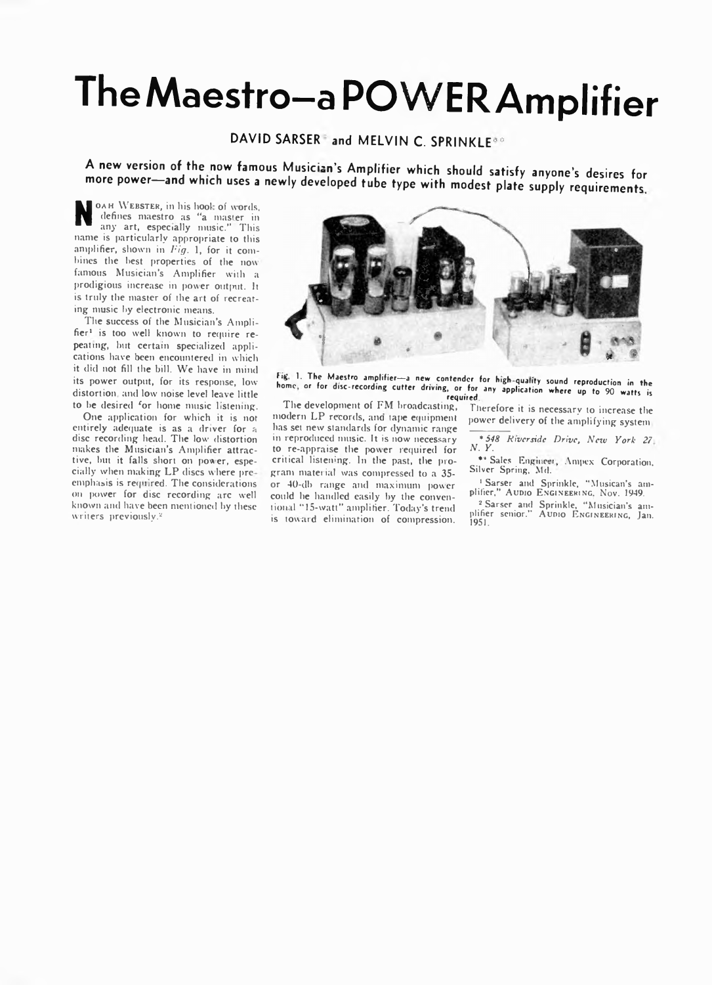# **TheMaestro-a POWER Amplifier**

# DAVID SARSER and MELVIN C. SPRINKLE<sup>\*\*</sup>

A new version of the now famous Musician's Amplifier which should satisfy anyone's desires for more power-and which uses a newly developed tube type with modest plate supply requirements.

N CAH WEBSTER, in his hook of words,<br>defines maestro as "a master in<br>any art, especially music." This<br>name is particularly appropriate to this **OAH** WEBSTER, in his hook of words, defines maestro as "a master in any art, especially music." This amplifier, shown in *Fig.* 1, for it combines the best properties of the now famous Musician's Amplifier with a prodigious increase in power output. It is truly the master of the art of recreating music by electronic means.

The success of the Musician's Amplifier<sup>1</sup> is too well known to require repeating, hut certain specialized applications have been encountered in which it did not fill the bill. We have in mind its power output, for its response, lowdistortion and low noise level leave little to he desired \*or home music listening.

One application for which it is not entirely adequate is as a driver for a disc recording head. The low distortion makes the Musician's Amplifier attractive, but it falls short on power, especially when making LP discs where preemphasis is required. The considerations on power for disc recording arc well known and have been mentioned by these writers previously.2



Fig. 1. The Maestro amplifier-a new contender for high-quality sound reproduction in the home, or for disc-recording cutter driving, or for any application where up to 90 watts is required.

The development of FM broadcasting, modern LP records, and tape equipment has set new standards for dynamic range in reproduced music. It is now necessary to re-appraise the power required for critical listening. In the past, the program material was compressed to a 35or 40-db range and maximum power could he handled easily by the conventional "15-watt" amplifier. Today's trend is toward elimination of compression.

Therefore it is necessary to increase the power delivery of the amplifying system

*\*548 Niversidc Drive, New York 27 N. Y.*

\*\* Sales Engineer, Ampex Corporation. Silver Spring, Md.

1 Sarser and Sprinkle, "Musican's am-plifier," **A udio E ngineering.** N ov. 1949.

2 Sarser and Sprinkle, "Musician's am-plifier senior." **A udio E ngineering,** Jan. 1951.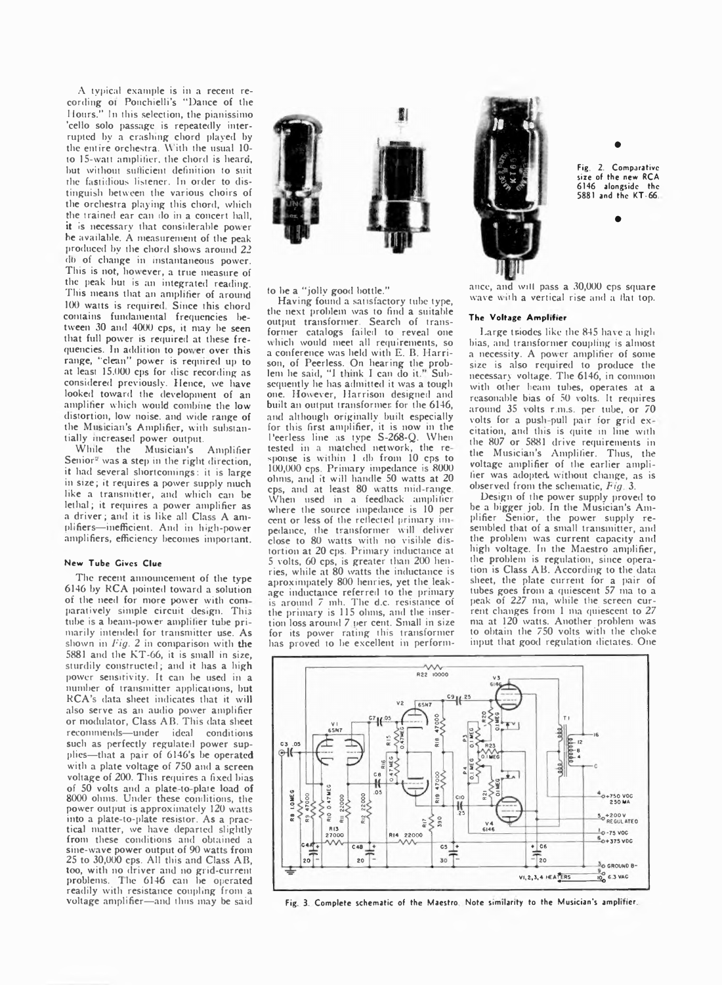A typical example is in a recent recording oi Ponchielli's "Dance of the Hours." In this selection, the pianissimo 'cello solo passage is repeatedly interrupted by a crashing chord played by the entire orchestra. With the usual 10to 15-watt amplifier, the chord is heard, hut without sufficient definition to suit the fastidious listener. In order to distinguish between the various choirs of the orchestra playing this chord, which the trained ear can do in a concert hall, it is necessary that considerable power he available. A measurement of the peak produced by the chord shows around 22 db of change in instantaneous power. This is not, however, a true measure of the peak hut is an integrated reading. This means that an amplifier of around 100 watts is required. Since this chord contains fundamental frequencies between 30 and 4000 cps, it may he seen that full power is required at these frequencies. In addition to power over this range, "clean" power is required up to at least 15.000 cps for disc recording as considered previously. Hence, we have looked toward the development of an amplifier which would combine the low distortion, low noise, and wide range of the Musician's Amplifier, with substantially increased power output.

While the Musician's Amplifier Senior<sup>2</sup> was a step in the right direction, it had several shortcomings: it is large in size; it requires a power supply much like a transmitter, and which can be lethal; it requires a power amplifier as a driver; and it is like all Class A amplifiers—inefficient. And in h'gh-power amplifiers, efficiency becomes important.

### **New Tube Civcs Clue**

The recent announcement of the type 6146 by RCA pointed toward a solution of the need for more power with com paratively simple circuit design. This tube is a beam-power amplifier tube primarily intended for transmitter use. As shown in *Fig. 2* in comparison with the 5881 and the KT-66, it is small in size, sturdily constructed; and it has a high power sensitivity. It can he used in a number of transmitter applications, but RCA's data sheet indicates that it will also serve as an audio power amplifier or modulator, Class AB. This data sheet recommends—under ideal conditions such as perfectly regulated power supplies—that a pair of 6146's be operated with a plate voltage of 750 and a screen voltage of 200. This requires a fixed bias of 50 volts and a plate to plate load of 8000 ohms. Under these conditions, the power output is approximately 120 watts into a plate-to-plate resistor. As a practical matter, we have departed slightly from these conditions and obtained a sine-wave power output of 90 watts from 25 to 30,000 cps. All this and Class AB, too, with no driver and no grid-current<br>problems. The 6146 can be operated The 6146 can he operated readily with resistance coupling from a voltage amplifier—and thus may be said



fo he a "jolly good bottle."

Having found a satisfactory tube type, the next problem was to find a suitable output transformer. Search of transformer catalogs failed to reveal one which would meet all requirements, so a conference was held with E. B. Harrison, of Peerless. On hearing the problem he said, "I think I can do it." Subsequently he has admitted it was a tough one. However, Harrison designed and built an output transformer for the 6146, and although originally built especially for this first amplifier, it is now in the Peerless line as type S-268-Q. When tested in a matched network, the re sponse is within 1 db from 10 cps to 100,000 cps. Primary impedance is 8000 ohms, and it will handle 50 watts at 20 cps, and at least 80 watts mid-range When used in a feedback amplifier where the source impedance is 10 per cent or less of the reflected primary impedance, the transformer will deliver close to 80 watts with no visible distortion at 20 cps. Primary inductance at 5 volts, 60 cps, is greater than 200 henries, while at 80 watts the inductance is aproximpately 800 henries, yet the leakage inductance referred to the primary is around 7 mb. The d.c. resistance of the primary is 115 ohms, and the insertion loss around 7 per cent. Small in size for its power rating this transformer has proved to be excellent in perform-



Fig. 2. Comparative size of the new RCA 6146 alongside the 5881 and the KT-66

**•**

**•**

ance, and will pass a 30,000 cps square wave with a vertical rise and a Hat top.

#### **The Voltage Amplifier**

Large triodes like the 845 have a high bias, and transformer coupling is almost a necessity. A power amplifier of some size is also required to produce the necessary voltage. The 6146, in common with other beam tubes, operates at a reasonable bias of 50 volts. It requires around 35 volts r.m.s. per tube, or 70 volts for a push-pull pair for grid excitation, and this is quite in line with the 807 or 5881 drive requirements in the Musician's Amplifier. Thus, the voltage amplifier of the earlier amplifier was adopted without change, as is observed from the schematic, *Fig.* 3.

Design of the power supply proved to be a bigger job. In the Musician's Amplifier Senior, the power supply resembled that of a small transmitter, and the problem was current capacity and high voltage. In the Maestro amplifier, the problem is regulation, since operation is Class AB. According to the data sheet, the plate current for a pair of tubes goes from a quiescent 57 ma to a peak of 227 ma, while the screen current changes from 1 ma quiescent to 27 ma at 120 watts. Another problem was to obtain the 750 volts with the choke input that good regulation dictates. One



Fig. 3. Complete schematic of the Maestro. Note similarity to the Musician's amplifier.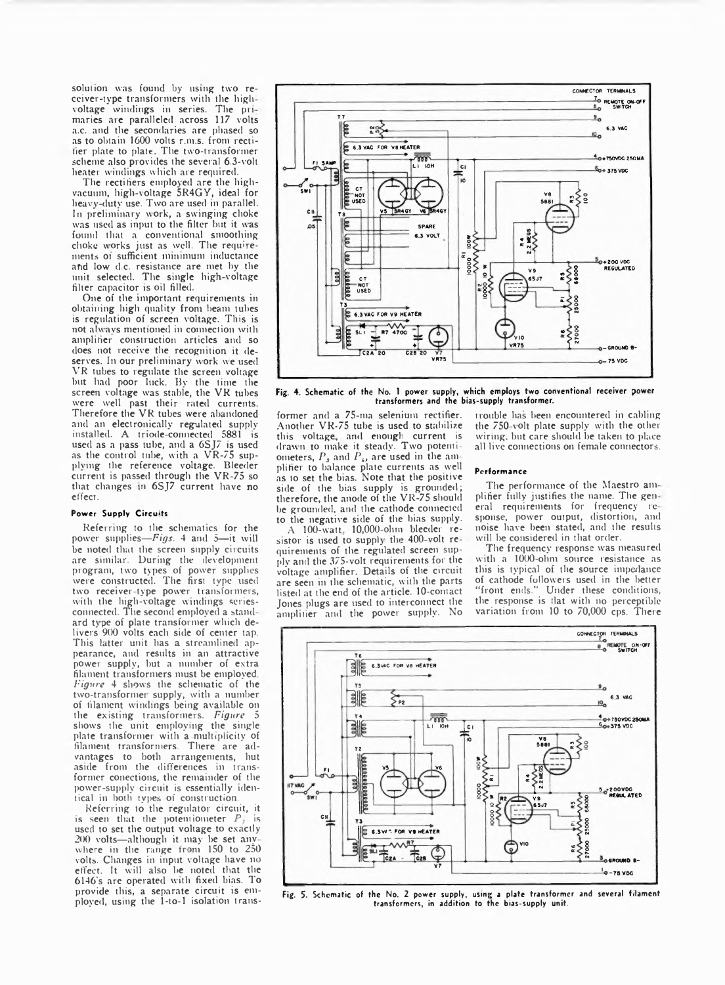solution was found by using two receiver-tvpe transformers with the high voltage windings in series. The primaries are paralleled across 117 volts a.c. and the secondaries are phased so as to obtain 1600 volts r.m.s. from rectitier plate to plate. The two-transformer scheme also provides the several 6.3-volt heater windings which are required.

The rectifiers employed are the highvacuum, high-voltage 5R4GY, ideal for heavy duty use. Two are used in parallel. In preliminary work, a swinging choke was used as input to the filter but it was found that a conventional smoothing choke works just as well. The requirements of sufficient minimum inductance and low d.c. resistance are met by the unit selected. The single high-voltage filter capacitor is oil filled.

One of the important requirements in obtaining high quality from beam tubes is regulation of screen voltage. This is not alwavs mentioned in connection with amplifier construction articles and so does not receive the recognition it deserves. In our preliminary work we used VR tubes to regulate the screen voltage but had poor luck. By the time the screen voltage was stable, the VR tubes were well past their rated currents. Therefore the VR tubes were abandoned and an electronically regulated supply installed. A triode-connected 5881 is used as a pass tube, and a 6SJ7 is used as the control tube, with a VR-75 supplying the reference voltage. Bleeder current is passed through the VR-75 so that changes in 6SJ7 current have no effect.

#### **Power Supply Circuits**

Referring to the schematics for the power supplies—*Figs.* 4 and 5—it will be noted that the screen supply circuits are similar. During the development program, two types of power supplies were constructed. The first type used two receiver-type power transformers, with the high-voltage windings seriesconnected. The second employed a stand ard type of plate transformer which delivers 900 volts each side of center tap. This latter unit has a streamlined appearance, and results in an attractive power supply, but a number of extra filament transformers must be employed *Figure* 4 shows the schematic of the two-transformer supply, with a number of filament windings being available on the existing transformers. *Figure* 5 shows the unit employing the single plate transformer with a multiplicity of filament transformers. There are advantages to both arrangements, hut aside from the differences in transformer conections, the remainder of the power-supply circuit is essentially identical in both type; of construction.

Referring to the regulator circuit, it is seen that the potentiometer *P*<sub>1</sub> is used to set the output voltage to exactly 200 volts—although it may be set anv where in the range from 150 to 250 volts. Changes in input voltage have no effect. It will also he noted that the 6146's are operated with fixed bias. To provide this, a separate circuit is employed, using the 1-to-l isolation trans-



Fig. 4. Schematic of the No. 1 power supply, which employs two conventional receiver power<br>transformers and the bias-supply transformer.

former and a 75-ma selenium rectifier. Another VR-75 tube is used to stabilize this voltage, and enough current is drawn to make it steady. Two potentiometers,  $P_s$  and  $P_4$ , are used in the amplifier to balance plate currents as well as to set the bias. Note that the positive side of the bias supply is grounded; therefore, the anode of the VR-75 should be grounded, and the cathode connected to the negative side of the bias supply.

A 100-watt 10,000-ohm bleeder resistor is used to supply the 400-volt requirements of the regulated screen supply and the 375-volt requirements for the voltage amplifier. Details of the circuit are seen in the schematic, with the parts listed at the end of the article. 10-contact Jones plugs are used to interconnect the amplifier and the power supply. No

trouble has been encountered in cabling the  $750$ -volt plate supply with the other wiring, but care should he taken to place all live connections on female connectors.

#### **Performance**

The performance of the Maestro am plifier fully justifies the name. The gen eral requirements for frequency re spouse, power output, distortion, and noise have been stated, and the results will be considered in that order.

The frequency response was measured with a 1000-ohm source resistance as this is typical of the source impedance of cathode followers used in the better "front ends." Under these conditions. Under these conditions, the response is flat with no perceptible variation from 10 to 70,000 cps. There



Fig. 5. Schematic of the No. 2 power supply, usm; a plate transformer and several filament transformers, in addition to the bias-supply unit.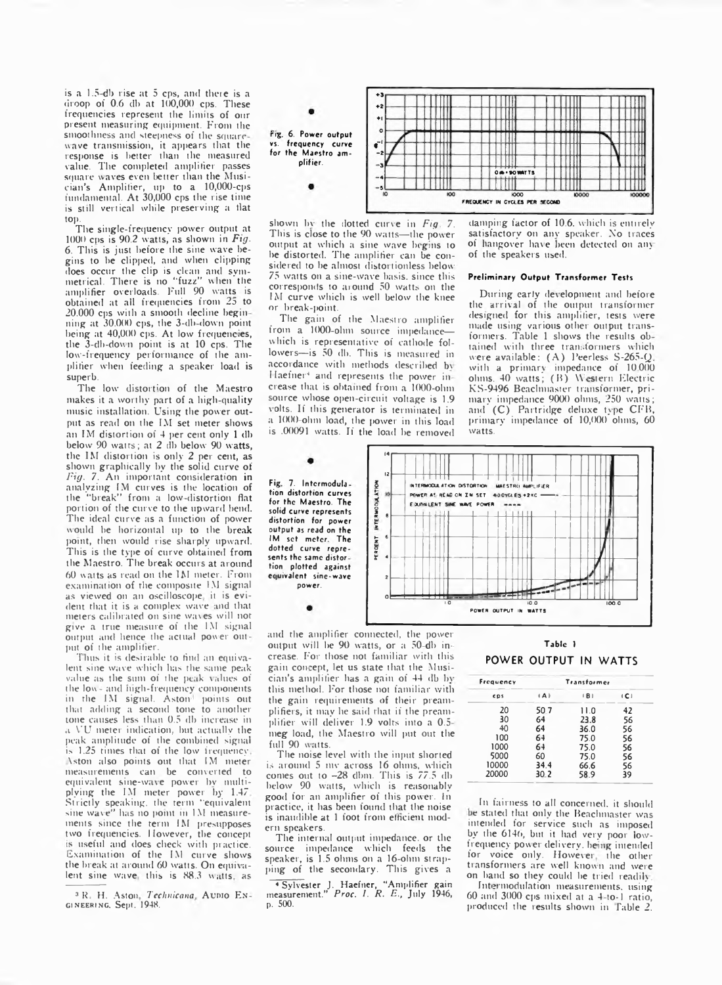is a 1.5 db rise at 5 cps, and there is a droop of 0.6 db at 100,000 cps. These frequencies represent the limits of our present measuring equipment. From the smoothness and steepness of the squarewave transmission, it appears that the response is better than the measured value. The completed amplifier passes square waves even better than the Musician's Amplifier, up to a 10,000-cps fundamental. At 30,000 cps the rise time is still vertical while preserving a flat top.

The single-frequency power output at 1000 cps is 90.2 watts, as shown in *Fig.* 6. This is just before the sine wave begins to he clipped, and when clipping does occur the clip is clean and symmetrical. There is no "fuzz" when the amplifier overloads. Full 90 watts is obtained at all frequencies from 25 to 20.000 cps with a smooth decline begin ning at 30.000 cps, the 3-db-down point being at 40,000 cps. At low frequencies, the 3-db-down point is at 10 cps. The low-frequency performance of the amplifier when feeding a speaker load is superb.

The low distortion of the Maestro makes it a worthy part of a high-quality music installation. Using the power output as read on the 1M set meter shows an IM distortion of 4 per cent only 1 db below 90 watts; at 2 db below 90 watts, the IM distortion is only 2 per cent, as shown graphically by the solid curve of *Fig.* 7. An important consideration in analyzing IM curves is the location of the "break" from a low-distortion flat portion of the curve to the upward bend. The ideal curve as a function of power would be horizontal up to the break pomt, then would rise sharply upward. This is the type of curve obtained from the Maestro. The break occurs at around 60 watts as read on the IM meter. From examination of rhe composite IM signal as viewed on an oscilloscope, it is evident that it is a complex wave md that meters calibrated on sine wares will not give a true measure of the l.M signal output and hence the actual power out put of the amplifier.

Thus it is desirable to find an equivalent sine wave which has the same peak value as the sum of the peak values of the  $low$  and high-frequency components in the IM signal. Aston points out that adding a second tone to another tone causes less than 0.5 db increase in a VU meter indication, hut actually the peak amplitude of the combined signal is 1.25 times that of the low frequency. \ston also points out that IM meter measurements can be converted to equivalent sine-wave power by multiplying the IM meter power by 1.47 Strictly speaking, the term "equivalent sine wave" has no point in 1M measurements since the term IM presupposes two frequencies. However, the concept s useful and does check with practice. Examination of the IM curve shows the break at around 60 watts. On equivalent sine wave this is 88.3 watts, as



shown by the dotted curve in *Fig.* 7. This is close to the 90 watts—the power output at which a sine wave begins to he distorted. The amplifier can be considered to be almost distortionless below 75 watts on a sine-rvave basis, since this corresponds to around 50 watts on the IM curve which is well below the knee or break-point.

The gain of the Maestro amplifier from a 1000-ohm source impedancewhich is representative of cathode followers—is 50 dh. This is measured in accordance with methods described br Haefner<sup>4</sup> and represents the power increase that is obtained from a 1000-ohm source whose open-circuit voltage is 1.9 volts. If this generator is terminated in a 1000 ohm load, the power in this load is .00091 watts. If the load he removed

#### damping factor of 10.6. which is entirely satisfactory on any speaker. No traces of hangover have been detected on any of the speakers used.

#### **Preliminary Output Transformer Tests**

During early development and before the arrival of the output transformer designed for this amplifier, tests were made using various other output transformers. Table 1 shows the results obtained with three transformers which were available: (A) Peerless S-265-Q with a primary impedance of  $10.000$ ohms. 40 watts; (B) Western Electric KS-9496 Beachmaster transformer, primary' impedance 9000 ohms, 250 watts; and (C) Partridge deluxe type CFB, primary impedance of 10,000 ohms, 60 rvatts.

Fig. 7. Intermodulation distortion curves for the Maestro. The solid curve represents distortion for power output as read on the IM set meter. The dotted curve represents the same distor tion plotted against ecuivalent sine-wave power.



and the amplifier connected, the power output will he 90 watts, or a 50-db increase. For those not familiar with this gain concept, let us state that the Musician's amplifier has a gain of 44 db hr this method. For those not familiar with the gain requirements of their preamplifiers, it may he said that if the preamplifier will deliver 1.9 volts into a 0.5 meg load, the Maestro will put out the full 90 watts.

The noise level with the input shorted is around 5 mv across 16 ohms, which comes out to -28 dbm. This is 77.5 db below 90 watts, which is reasonably good for an amplifier of this power. In practice, it has been found that the noise is inaudible at 1 foot from efficient modern speakers.

The internal output impedance, or the source impedance which feeds the speaker, is 1.5 ohms on a 16-ohm strapping of the secondary. This gives a

4 Sylvester J. Haefner, "Amplifier gain measurement." *Proc.* /. *R. E-,* July 1946, p. 500.

## Tabic 1 **POWER OUTPUT IN WATTS**

| Frequency  |      | Transformer |     |
|------------|------|-------------|-----|
| <b>CDS</b> | (A)  | (B)         | (C) |
| 20         | 50.7 | 11.0        | 42  |
| 30         | 64   | 23.8        | 56  |
| 40         | 64   | 36.0        | 56  |
| 100        | 64   | 75.0        | 56  |
| 1000       | 64   | 75.0        | 56  |
| 5000       | 60   | 75.0        | 56  |
| 10000      | 34.4 | 66.6        | 56  |
| 20000      | 30.2 | 58.9        | 39  |

In fairness to all concerned, it should be stated that only the Beachmaster was intended for service such as imposed by the 6140, but it had very poor lowfrequency power delivery, being intended for voice only. However, the other transformers are well known and were on hand so they could be tried readily.

Intermodulation measurements, using 60 and 3000 cps mixed at a 4 to-1 ratio, produced the results shown in Table 2.

<sup>&</sup>lt;sup>3</sup> R. H. Aston, *Technicana*, Aunio En**gineering.** Sept. 1948.